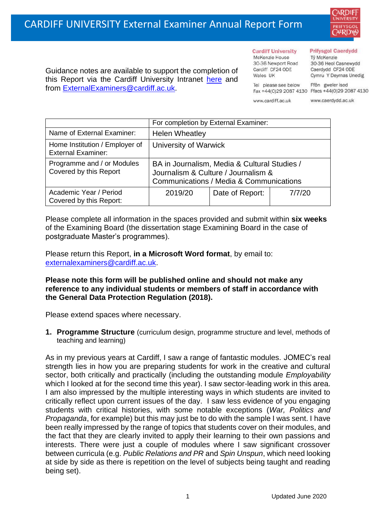

Guidance notes are available to support the completion of this Report via the Cardiff University Intranet [here](https://intranet.cardiff.ac.uk/staff/teaching-and-supporting-students/exams-and-assessment/exam-boards-and-external-examiners/for-current-external-examiners/external-examiners-reports) and from [ExternalExaminers@cardiff.ac.uk.](mailto:ExternalExaminers@cardiff.ac.uk)

# **Cardiff University**

McKenzie House 30-36 Newport Road Cardiff CF24 ODE Wales UK

#### **Prifysgol Caerdydd**

Từ McKenzie 30-36 Heol Casnewydd Caerdydd CF24 ODE Cymru Y Deyrnas Unedig

Ffôn gweler isod Fax +44(0)29 2087 4130 Ffacs +44(0)29 2087 4130

www.cardiff.ac.uk

Tel please see below

www.caerdydd.ac.uk

|                                                             | For completion by External Examiner:                                                                                           |                 |        |
|-------------------------------------------------------------|--------------------------------------------------------------------------------------------------------------------------------|-----------------|--------|
| Name of External Examiner:                                  | <b>Helen Wheatley</b>                                                                                                          |                 |        |
| Home Institution / Employer of<br><b>External Examiner:</b> | University of Warwick                                                                                                          |                 |        |
| Programme and / or Modules<br>Covered by this Report        | BA in Journalism, Media & Cultural Studies /<br>Journalism & Culture / Journalism &<br>Communications / Media & Communications |                 |        |
| Academic Year / Period<br>Covered by this Report:           | 2019/20                                                                                                                        | Date of Report: | 7/7/20 |

Please complete all information in the spaces provided and submit within **six weeks** of the Examining Board (the dissertation stage Examining Board in the case of postgraduate Master's programmes).

Please return this Report, **in a Microsoft Word format**, by email to: [externalexaminers@cardiff.ac.uk.](mailto:externalexaminers@cardiff.ac.uk)

### **Please note this form will be published online and should not make any reference to any individual students or members of staff in accordance with the General Data Protection Regulation (2018).**

Please extend spaces where necessary.

**1. Programme Structure** (curriculum design, programme structure and level, methods of teaching and learning)

As in my previous years at Cardiff, I saw a range of fantastic modules. JOMEC's real strength lies in how you are preparing students for work in the creative and cultural sector, both critically and practically (including the outstanding module *Employability*  which I looked at for the second time this year). I saw sector-leading work in this area. I am also impressed by the multiple interesting ways in which students are invited to critically reflect upon current issues of the day. I saw less evidence of you engaging students with critical histories, with some notable exceptions (*War, Politics and Propaganda*, for example) but this may just be to do with the sample I was sent. I have been really impressed by the range of topics that students cover on their modules, and the fact that they are clearly invited to apply their learning to their own passions and interests. There were just a couple of modules where I saw significant crossover between curricula (e.g. *Public Relations and PR* and *Spin Unspun*, which need looking at side by side as there is repetition on the level of subjects being taught and reading being set).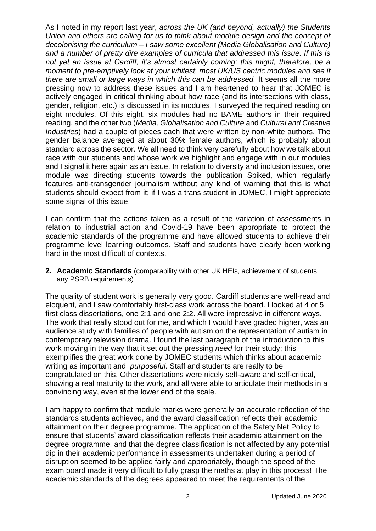As I noted in my report last year, *across the UK (and beyond, actually) the Students Union and others are calling for us to think about module design and the concept of decolonising the curriculum – I saw some excellent (Media Globalisation and Culture) and a number of pretty dire examples of curricula that addressed this issue. If this is not yet an issue at Cardiff, it's almost certainly coming; this might, therefore, be a moment to pre-emptively look at your whitest, most UK/US centric modules and see if there are small or large ways in which this can be addressed.* It seems all the more pressing now to address these issues and I am heartened to hear that JOMEC is actively engaged in critical thinking about how race (and its intersections with class, gender, religion, etc.) is discussed in its modules. I surveyed the required reading on eight modules. Of this eight, six modules had no BAME authors in their required reading, and the other two (*Media, Globalisation and Culture* and *Cultural and Creative Industries*) had a couple of pieces each that were written by non-white authors. The gender balance averaged at about 30% female authors, which is probably about standard across the sector. We all need to think very carefully about how we talk about race with our students and whose work we highlight and engage with in our modules and I signal it here again as an issue. In relation to diversity and inclusion issues, one module was directing students towards the publication Spiked, which regularly features anti-transgender journalism without any kind of warning that this is what students should expect from it; if I was a trans student in JOMEC, I might appreciate some signal of this issue.

I can confirm that the actions taken as a result of the variation of assessments in relation to industrial action and Covid-19 have been appropriate to protect the academic standards of the programme and have allowed students to achieve their programme level learning outcomes. Staff and students have clearly been working hard in the most difficult of contexts.

**2. Academic Standards** (comparability with other UK HEIs, achievement of students, any PSRB requirements)

The quality of student work is generally very good. Cardiff students are well-read and eloquent, and I saw comfortably first-class work across the board. I looked at 4 or 5 first class dissertations, one 2:1 and one 2:2. All were impressive in different ways. The work that really stood out for me, and which I would have graded higher, was an audience study with families of people with autism on the representation of autism in contemporary television drama. I found the last paragraph of the introduction to this work moving in the way that it set out the pressing *need* for their study; this exemplifies the great work done by JOMEC students which thinks about academic writing as important and *purposeful*. Staff and students are really to be congratulated on this. Other dissertations were nicely self-aware and self-critical, showing a real maturity to the work, and all were able to articulate their methods in a convincing way, even at the lower end of the scale.

I am happy to confirm that module marks were generally an accurate reflection of the standards students achieved, and the award classification reflects their academic attainment on their degree programme. The application of the Safety Net Policy to ensure that students' award classification reflects their academic attainment on the degree programme, and that the degree classification is not affected by any potential dip in their academic performance in assessments undertaken during a period of disruption seemed to be applied fairly and appropriately, though the speed of the exam board made it very difficult to fully grasp the maths at play in this process! The academic standards of the degrees appeared to meet the requirements of the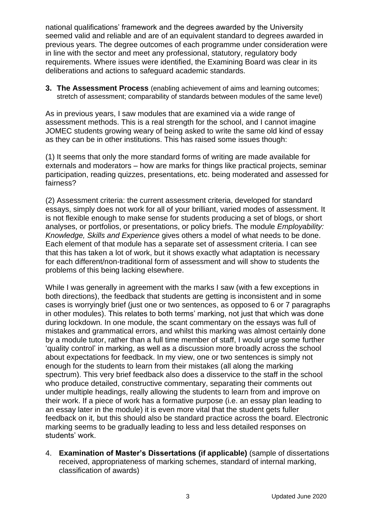national qualifications' framework and the degrees awarded by the University seemed valid and reliable and are of an equivalent standard to degrees awarded in previous years. The degree outcomes of each programme under consideration were in line with the sector and meet any professional, statutory, regulatory body requirements. Where issues were identified, the Examining Board was clear in its deliberations and actions to safeguard academic standards.

**3. The Assessment Process** (enabling achievement of aims and learning outcomes; stretch of assessment; comparability of standards between modules of the same level)

As in previous years, I saw modules that are examined via a wide range of assessment methods. This is a real strength for the school, and I cannot imagine JOMEC students growing weary of being asked to write the same old kind of essay as they can be in other institutions. This has raised some issues though:

(1) It seems that only the more standard forms of writing are made available for externals and moderators – how are marks for things like practical projects, seminar participation, reading quizzes, presentations, etc. being moderated and assessed for fairness?

(2) Assessment criteria: the current assessment criteria, developed for standard essays, simply does not work for all of your brilliant, varied modes of assessment. It is not flexible enough to make sense for students producing a set of blogs, or short analyses, or portfolios, or presentations, or policy briefs. The module *Employability: Knowledge, Skills and Experience* gives others a model of what needs to be done. Each element of that module has a separate set of assessment criteria. I can see that this has taken a lot of work, but it shows exactly what adaptation is necessary for each different/non-traditional form of assessment and will show to students the problems of this being lacking elsewhere.

While I was generally in agreement with the marks I saw (with a few exceptions in both directions), the feedback that students are getting is inconsistent and in some cases is worryingly brief (just one or two sentences, as opposed to 6 or 7 paragraphs in other modules). This relates to both terms' marking, not just that which was done during lockdown. In one module, the scant commentary on the essays was full of mistakes and grammatical errors, and whilst this marking was almost certainly done by a module tutor, rather than a full time member of staff, I would urge some further 'quality control' in marking, as well as a discussion more broadly across the school about expectations for feedback. In my view, one or two sentences is simply not enough for the students to learn from their mistakes (all along the marking spectrum). This very brief feedback also does a disservice to the staff in the school who produce detailed, constructive commentary, separating their comments out under multiple headings, really allowing the students to learn from and improve on their work. If a piece of work has a formative purpose (i.e. an essay plan leading to an essay later in the module) it is even more vital that the student gets fuller feedback on it, but this should also be standard practice across the board. Electronic marking seems to be gradually leading to less and less detailed responses on students' work.

4. **Examination of Master's Dissertations (if applicable)** (sample of dissertations received, appropriateness of marking schemes, standard of internal marking, classification of awards)